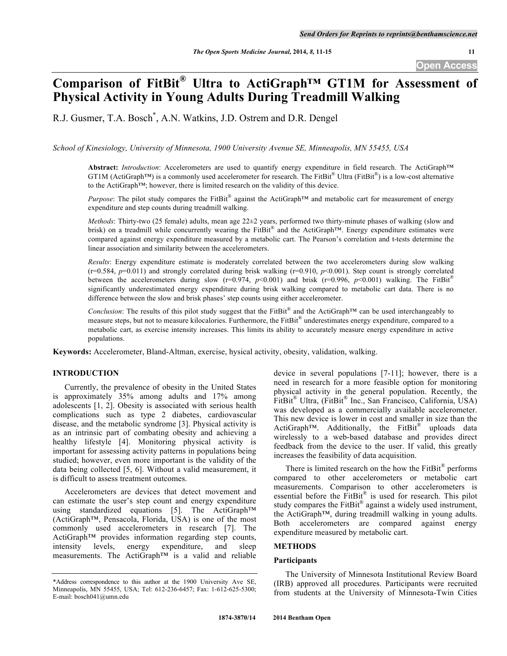# **Comparison of FitBit® Ultra to ActiGraph™ GT1M for Assessment of Physical Activity in Young Adults During Treadmill Walking**

R.J. Gusmer, T.A. Bosch\* , A.N. Watkins, J.D. Ostrem and D.R. Dengel

*School of Kinesiology, University of Minnesota, 1900 University Avenue SE, Minneapolis, MN 55455, USA*

**Abstract:** *Introduction*: Accelerometers are used to quantify energy expenditure in field research. The ActiGraph™ GT1M (ActiGraph<sup>TM</sup>) is a commonly used accelerometer for research. The FitBit<sup>®</sup> Ultra (FitBit<sup>®</sup>) is a low-cost alternative to the ActiGraph™; however, there is limited research on the validity of this device.

*Purpose*: The pilot study compares the FitBit® against the ActiGraph™ and metabolic cart for measurement of energy expenditure and step counts during treadmill walking.

*Methods*: Thirty-two (25 female) adults, mean age 22±2 years, performed two thirty-minute phases of walking (slow and brisk) on a treadmill while concurrently wearing the FitBit® and the ActiGraph™. Energy expenditure estimates were compared against energy expenditure measured by a metabolic cart. The Pearson's correlation and t-tests determine the linear association and similarity between the accelerometers.

*Results*: Energy expenditure estimate is moderately correlated between the two accelerometers during slow walking  $(r=0.584, p=0.011)$  and strongly correlated during brisk walking  $(r=0.910, p<0.001)$ . Step count is strongly correlated between the accelerometers during slow ( $r=0.974$ ,  $p<0.001$ ) and brisk ( $r=0.996$ ,  $p<0.001$ ) walking. The FitBit<sup>®</sup> significantly underestimated energy expenditure during brisk walking compared to metabolic cart data. There is no difference between the slow and brisk phases' step counts using either accelerometer.

*Conclusion*: The results of this pilot study suggest that the FitBit® and the ActiGraph™ can be used interchangeably to measure steps, but not to measure kilocalories. Furthermore, the FitBit<sup>®</sup> underestimates energy expenditure, compared to a metabolic cart, as exercise intensity increases. This limits its ability to accurately measure energy expenditure in active populations.

**Keywords:** Accelerometer, Bland-Altman, exercise, hysical activity, obesity, validation, walking.

# **INTRODUCTION**

Currently, the prevalence of obesity in the United States is approximately 35% among adults and 17% among adolescents [1, 2]. Obesity is associated with serious health complications such as type 2 diabetes, cardiovascular disease, and the metabolic syndrome [3]. Physical activity is as an intrinsic part of combating obesity and achieving a healthy lifestyle [4]. Monitoring physical activity is important for assessing activity patterns in populations being studied; however, even more important is the validity of the data being collected [5, 6]. Without a valid measurement, it is difficult to assess treatment outcomes.

Accelerometers are devices that detect movement and can estimate the user's step count and energy expenditure using standardized equations [5]. The ActiGraph™ (ActiGraph™, Pensacola, Florida, USA) is one of the most commonly used accelerometers in research [7]. The ActiGraph™ provides information regarding step counts, intensity levels, energy expenditure, and sleep measurements. The ActiGraph™ is a valid and reliable

device in several populations [7-11]; however, there is a need in research for a more feasible option for monitoring physical activity in the general population. Recently, the FitBit® Ultra, (FitBit® Inc., San Francisco, California, USA) was developed as a commercially available accelerometer. This new device is lower in cost and smaller in size than the ActiGraph™. Additionally, the FitBit<sup>®</sup> uploads data wirelessly to a web-based database and provides direct feedback from the device to the user. If valid, this greatly increases the feasibility of data acquisition.

There is limited research on the how the FitBit $^{\circledR}$  performs compared to other accelerometers or metabolic cart measurements. Comparison to other accelerometers is essential before the FitBit® is used for research. This pilot study compares the FitBit<sup>®</sup> against a widely used instrument, the ActiGraph™, during treadmill walking in young adults. Both accelerometers are compared against energy expenditure measured by metabolic cart.

### **METHODS**

# **Participants**

The University of Minnesota Institutional Review Board (IRB) approved all procedures. Participants were recruited from students at the University of Minnesota-Twin Cities

<sup>\*</sup>Address correspondence to this author at the 1900 University Ave SE, Minneapolis, MN 55455, USA; Tel: 612-236-6457; Fax: 1-612-625-5300; E-mail: bosch041@umn.edu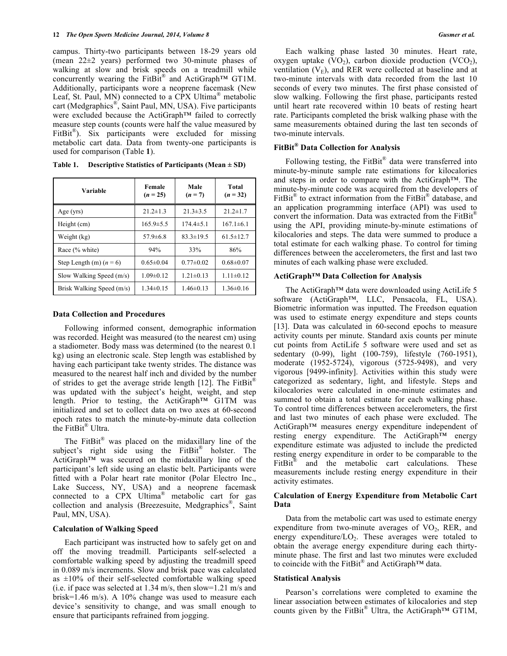campus. Thirty-two participants between 18-29 years old (mean 22±2 years) performed two 30-minute phases of walking at slow and brisk speeds on a treadmill while concurrently wearing the FitBit<sup>®</sup> and ActiGraph<sup>TM</sup> GT1M. Additionally, participants wore a neoprene facemask (New Leaf, St. Paul, MN) connected to a CPX Ultima<sup>®</sup> metabolic cart (Medgraphics®, Saint Paul, MN, USA). Five participants were excluded because the ActiGraph™ failed to correctly measure step counts (counts were half the value measured by FitBit<sup>®</sup>). Six participants were excluded for missing metabolic cart data. Data from twenty-one participants is used for comparison (Table **1**).

| Variable                  | Female<br>$(n = 25)$ | Male<br>$(n=7)$ | Total<br>$(n = 32)$ |
|---------------------------|----------------------|-----------------|---------------------|
| Age $(yrs)$               | $21.2 \pm 1.3$       | $21.3 \pm 3.5$  | $21.2 \pm 1.7$      |
| Height (cm)               | $165.9 \pm 5.5$      | $174.4 \pm 5.1$ | $167.1 \pm 6.1$     |
| Weight (kg)               | $57.9 \pm 6.8$       | $83.3 \pm 19.5$ | $61.5 \pm 12.7$     |
| Race (% white)            | 94%                  | 33%             | 86%                 |
| Step Length (m) $(n = 6)$ | $0.65 \pm 0.04$      | $0.77 \pm 0.02$ | $0.68 \pm 0.07$     |
| Slow Walking Speed (m/s)  | $1.09 \pm 0.12$      | $1.21 \pm 0.13$ | $1.11 \pm 0.12$     |
| Brisk Walking Speed (m/s) | $1.34 \pm 0.15$      | $1.46 \pm 0.13$ | $1.36\pm0.16$       |

**Table 1. Descriptive Statistics of Participants (Mean ± SD)**

### **Data Collection and Procedures**

Following informed consent, demographic information was recorded. Height was measured (to the nearest cm) using a stadiometer. Body mass was determined (to the nearest 0.1 kg) using an electronic scale. Step length was established by having each participant take twenty strides. The distance was measured to the nearest half inch and divided by the number of strides to get the average stride length [12]. The FitBit<sup>®</sup> was updated with the subject's height, weight, and step length. Prior to testing, the ActiGraph™ G1TM was initialized and set to collect data on two axes at 60-second epoch rates to match the minute-by-minute data collection the FitBit® Ultra.

The FitBit $^{\circ}$  was placed on the midaxillary line of the subject's right side using the FitBit<sup>®</sup> holster. The ActiGraph™ was secured on the midaxillary line of the participant's left side using an elastic belt. Participants were fitted with a Polar heart rate monitor (Polar Electro Inc., Lake Success, NY, USA) and a neoprene facemask connected to a CPX Ultima® metabolic cart for gas collection and analysis (Breezesuite, Medgraphics®, Saint Paul, MN, USA).

### **Calculation of Walking Speed**

Each participant was instructed how to safely get on and off the moving treadmill. Participants self-selected a comfortable walking speed by adjusting the treadmill speed in 0.089 m/s increments. Slow and brisk pace was calculated as  $\pm 10\%$  of their self-selected comfortable walking speed (i.e. if pace was selected at 1.34 m/s, then slow=1.21 m/s and brisk=1.46 m/s). A 10% change was used to measure each device's sensitivity to change, and was small enough to ensure that participants refrained from jogging.

Each walking phase lasted 30 minutes. Heart rate, oxygen uptake  $(VO_2)$ , carbon dioxide production  $(VCO_2)$ , ventilation  $(V_F)$ , and RER were collected at baseline and at two-minute intervals with data recorded from the last 10 seconds of every two minutes. The first phase consisted of slow walking. Following the first phase, participants rested until heart rate recovered within 10 beats of resting heart rate. Participants completed the brisk walking phase with the same measurements obtained during the last ten seconds of two-minute intervals.

# **FitBit® Data Collection for Analysis**

Following testing, the FitBit<sup>®</sup> data were transferred into minute-by-minute sample rate estimations for kilocalories and steps in order to compare with the ActiGraph™. The minute-by-minute code was acquired from the developers of FitBit<sup>®</sup> to extract information from the FitBit<sup>®</sup> database, and an application programming interface (API) was used to convert the information. Data was extracted from the FitBit<sup>®</sup> using the API, providing minute-by-minute estimations of kilocalories and steps. The data were summed to produce a total estimate for each walking phase. To control for timing differences between the accelerometers, the first and last two minutes of each walking phase were excluded.

### **ActiGraph™ Data Collection for Analysis**

The ActiGraph™ data were downloaded using ActiLife 5 software (ActiGraph™, LLC, Pensacola, FL, USA). Biometric information was inputted. The Freedson equation was used to estimate energy expenditure and steps counts [13]. Data was calculated in 60-second epochs to measure activity counts per minute. Standard axis counts per minute cut points from ActiLife 5 software were used and set as sedentary (0-99), light (100-759), lifestyle (760-1951), moderate (1952-5724), vigorous (5725-9498), and very vigorous [9499-infinity]. Activities within this study were categorized as sedentary, light, and lifestyle. Steps and kilocalories were calculated in one-minute estimates and summed to obtain a total estimate for each walking phase. To control time differences between accelerometers, the first and last two minutes of each phase were excluded. The ActiGraph™ measures energy expenditure independent of resting energy expenditure. The ActiGraph™ energy expenditure estimate was adjusted to include the predicted resting energy expenditure in order to be comparable to the FitBit<sup>®</sup> and the metabolic cart calculations. These measurements include resting energy expenditure in their activity estimates.

### **Calculation of Energy Expenditure from Metabolic Cart Data**

Data from the metabolic cart was used to estimate energy expenditure from two-minute averages of VO<sub>2</sub>, RER, and energy expenditure/ $LO<sub>2</sub>$ . These averages were totaled to obtain the average energy expenditure during each thirtyminute phase. The first and last two minutes were excluded to coincide with the FitBit<sup>®</sup> and ActiGraph<sup>TM</sup> data.

### **Statistical Analysis**

Pearson's correlations were completed to examine the linear association between estimates of kilocalories and step counts given by the FitBit<sup>®</sup> Ultra, the ActiGraph<sup>TM</sup> GT1M,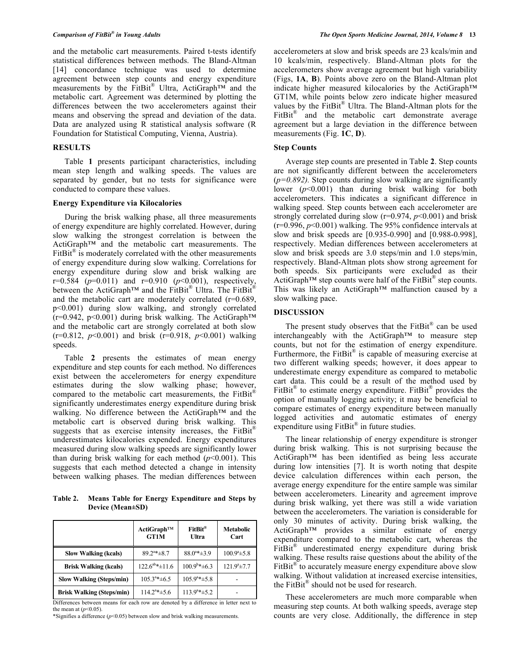and the metabolic cart measurements. Paired t-tests identify statistical differences between methods. The Bland-Altman [14] concordance technique was used to determine agreement between step counts and energy expenditure measurements by the FitBit® Ultra, ActiGraph™ and the metabolic cart. Agreement was determined by plotting the differences between the two accelerometers against their means and observing the spread and deviation of the data. Data are analyzed using R statistical analysis software (R Foundation for Statistical Computing, Vienna, Austria).

### **RESULTS**

Table **1** presents participant characteristics, including mean step length and walking speeds. The values are separated by gender, but no tests for significance were conducted to compare these values.

### **Energy Expenditure via Kilocalories**

During the brisk walking phase, all three measurements of energy expenditure are highly correlated. However, during slow walking the strongest correlation is between the ActiGraph™ and the metabolic cart measurements. The  $FitBit^{\circledast}$  is moderately correlated with the other measurements of energy expenditure during slow walking. Correlations for energy expenditure during slow and brisk walking are  $r=0.584$  ( $p=0.011$ ) and  $r=0.910$  ( $p<0.001$ ), respectively, between the ActiGraph<sup>™</sup> and the FitBit<sup>®</sup> Ultra. The FitBit<sup>®</sup> and the metabolic cart are moderately correlated (r=0.689, p<0.001) during slow walking, and strongly correlated  $(r=0.942, p<0.001)$  during brisk walking. The ActiGraph<sup>TM</sup> and the metabolic cart are strongly correlated at both slow (r=0.812, *p*<0.001) and brisk (r=0.918, *p*<0.001) walking speeds.

Table **2** presents the estimates of mean energy expenditure and step counts for each method. No differences exist between the accelerometers for energy expenditure estimates during the slow walking phase; however, compared to the metabolic cart measurements, the FitBit<sup>®</sup> significantly underestimates energy expenditure during brisk walking. No difference between the ActiGraph™ and the metabolic cart is observed during brisk walking. This suggests that as exercise intensity increases, the FitBit<sup>®</sup> underestimates kilocalories expended. Energy expenditures measured during slow walking speeds are significantly lower than during brisk walking for each method  $(p<0.001)$ . This suggests that each method detected a change in intensity between walking phases. The median differences between

**Table 2. Means Table for Energy Expenditure and Steps by Device (Mean±SD)**

|                                  | ActiGraph™<br>GT1M        | $FitBit^*$<br>Ultra     | <b>Metabolic</b><br>Cart |
|----------------------------------|---------------------------|-------------------------|--------------------------|
| <b>Slow Walking (kcals)</b>      | $89.2^{a}$ $\pm 8.7$      | $88.0^{a}$ * $\pm$ 3.9  | $100.9^a \pm 5.8$        |
| <b>Brisk Walking (kcals)</b>     | $122.6^{ab}$ * $\pm$ 11.6 | $100.9^{b}$ * ± 6.3     | $121.9^a \pm 7.7$        |
| <b>Slow Walking (Steps/min)</b>  | $105.3^{a}$ $\pm 6.5$     | $105.9^{a}$ * $\pm$ 5.8 |                          |
| <b>Brisk Walking (Steps/min)</b> | $114.2^{a}$ * $\pm$ 5.6   | $113.9^{a}$ + $\pm$ 5.2 |                          |

Differences between means for each row are denoted by a difference in letter next to the mean at  $(p<0.05)$ .

\*Signifies a difference (*p*<0.05) between slow and brisk walking measurements.

accelerometers at slow and brisk speeds are 23 kcals/min and 10 kcals/min, respectively. Bland-Altman plots for the accelerometers show average agreement but high variability (Figs, **1A**, **B**). Points above zero on the Bland-Altman plot indicate higher measured kilocalories by the ActiGraph™ GT1M, while points below zero indicate higher measured values by the FitBit® Ultra. The Bland-Altman plots for the FitBit<sup>®</sup> and the metabolic cart demonstrate average agreement but a large deviation in the difference between measurements (Fig. **1C**, **D**).

### **Step Counts**

Average step counts are presented in Table **2**. Step counts are not significantly different between the accelerometers  $(p=0.892)$ . Step counts during slow walking are significantly lower ( $p$ <0.001) than during brisk walking for both accelerometers. This indicates a significant difference in walking speed. Step counts between each accelerometer are strongly correlated during slow  $(r=0.974, p<0.001)$  and brisk  $(r=0.996, p<0.001)$  walking. The 95% confidence intervals at slow and brisk speeds are [0.935-0.990] and [0.988-0.998], respectively. Median differences between accelerometers at slow and brisk speeds are 3.0 steps/min and 1.0 steps/min, respectively. Bland-Altman plots show strong agreement for both speeds. Six participants were excluded as their ActiGraph<sup>TM</sup> step counts were half of the FitBit<sup>®</sup> step counts. This was likely an ActiGraph™ malfunction caused by a slow walking pace.

### **DISCUSSION**

The present study observes that the  $FitBit^{\circledR}$  can be used interchangeably with the ActiGraph™ to measure step counts, but not for the estimation of energy expenditure. Furthermore, the FitBit $^{\circledR}$  is capable of measuring exercise at two different walking speeds; however, it does appear to underestimate energy expenditure as compared to metabolic cart data. This could be a result of the method used by FitBit<sup>®</sup> to estimate energy expenditure. FitBit<sup>®</sup> provides the option of manually logging activity; it may be beneficial to compare estimates of energy expenditure between manually logged activities and automatic estimates of energy expenditure using FitBit<sup>®</sup> in future studies.

The linear relationship of energy expenditure is stronger during brisk walking. This is not surprising because the ActiGraph™ has been identified as being less accurate during low intensities [7]. It is worth noting that despite device calculation differences within each person, the average energy expenditure for the entire sample was similar between accelerometers. Linearity and agreement improve during brisk walking, yet there was still a wide variation between the accelerometers. The variation is considerable for only 30 minutes of activity. During brisk walking, the ActiGraph™ provides a similar estimate of energy expenditure compared to the metabolic cart, whereas the FitBit® underestimated energy expenditure during brisk walking. These results raise questions about the ability of the FitBit<sup>®</sup> to accurately measure energy expenditure above slow walking. Without validation at increased exercise intensities, the FitBit® should not be used for research.

These accelerometers are much more comparable when measuring step counts. At both walking speeds, average step counts are very close. Additionally, the difference in step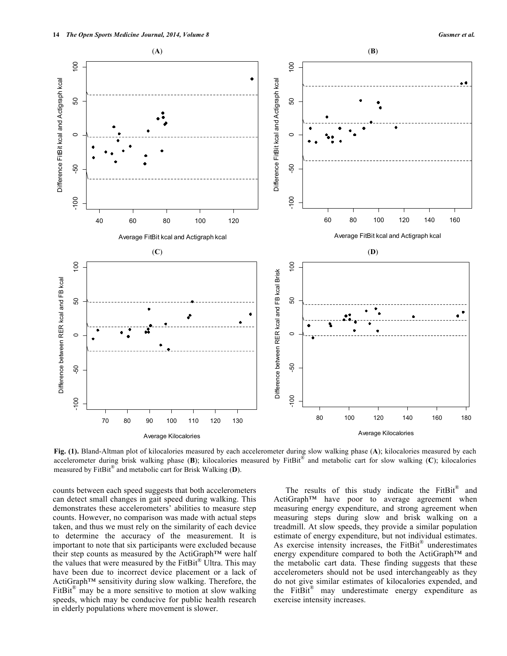

**Fig. (1).** Bland-Altman plot of kilocalories measured by each accelerometer during slow walking phase (**A**); kilocalories measured by each accelerometer during brisk walking phase (**B**); kilocalories measured by FitBit® and metabolic cart for slow walking (**C**); kilocalories measured by FitBit® and metabolic cart for Brisk Walking (**D**).

counts between each speed suggests that both accelerometers can detect small changes in gait speed during walking. This demonstrates these accelerometers' abilities to measure step counts. However, no comparison was made with actual steps taken, and thus we must rely on the similarity of each device to determine the accuracy of the measurement. It is important to note that six participants were excluded because their step counts as measured by the ActiGraph™ were half the values that were measured by the FitBit<sup>®</sup> Ultra. This may have been due to incorrect device placement or a lack of ActiGraph™ sensitivity during slow walking. Therefore, the FitBit<sup>®</sup> may be a more sensitive to motion at slow walking speeds, which may be conducive for public health research in elderly populations where movement is slower.

The results of this study indicate the  $FitBit^{\omega}$  and ActiGraph™ have poor to average agreement when measuring energy expenditure, and strong agreement when measuring steps during slow and brisk walking on a treadmill. At slow speeds, they provide a similar population estimate of energy expenditure, but not individual estimates. As exercise intensity increases, the FitBit<sup>®</sup> underestimates energy expenditure compared to both the ActiGraph™ and the metabolic cart data. These finding suggests that these accelerometers should not be used interchangeably as they do not give similar estimates of kilocalories expended, and the FitBit<sup>®</sup> may underestimate energy expenditure as exercise intensity increases.